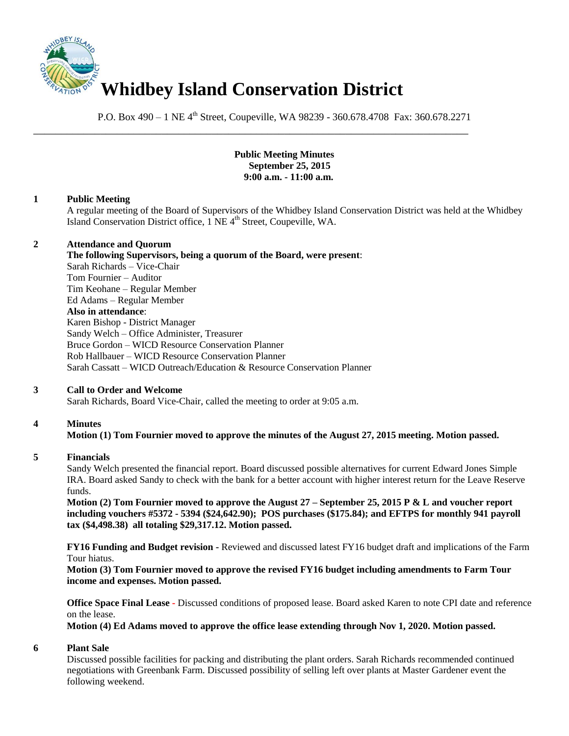

P.O. Box 490 – 1 NE 4<sup>th</sup> Street, Coupeville, WA 98239 - 360.678.4708 Fax: 360.678.2271

\_\_\_\_\_\_\_\_\_\_\_\_\_\_\_\_\_\_\_\_\_\_\_\_\_\_\_\_\_\_\_\_\_\_\_\_\_\_\_\_\_\_\_\_\_\_\_\_\_\_\_\_\_\_\_\_\_\_\_\_\_\_\_\_\_\_\_\_\_\_\_\_\_\_\_\_\_\_

### **Public Meeting Minutes September 25, 2015 9:00 a.m. - 11:00 a.m.**

### **1 Public Meeting**

A regular meeting of the Board of Supervisors of the Whidbey Island Conservation District was held at the Whidbey Island Conservation District office, 1 NE 4<sup>th</sup> Street, Coupeville, WA.

### **2 Attendance and Quorum**

**The following Supervisors, being a quorum of the Board, were present**: Sarah Richards – Vice-Chair Tom Fournier – Auditor Tim Keohane – Regular Member Ed Adams – Regular Member **Also in attendance**: Karen Bishop - District Manager Sandy Welch – Office Administer, Treasurer Bruce Gordon – WICD Resource Conservation Planner Rob Hallbauer – WICD Resource Conservation Planner Sarah Cassatt – WICD Outreach/Education & Resource Conservation Planner

## **3 Call to Order and Welcome**

Sarah Richards, Board Vice-Chair, called the meeting to order at 9:05 a.m.

## **4 Minutes**

## **Motion (1) Tom Fournier moved to approve the minutes of the August 27, 2015 meeting. Motion passed.**

#### **5 Financials**

Sandy Welch presented the financial report. Board discussed possible alternatives for current Edward Jones Simple IRA. Board asked Sandy to check with the bank for a better account with higher interest return for the Leave Reserve funds.

**Motion (2) Tom Fournier moved to approve the August 27 – September 25, 2015 P & L and voucher report including vouchers #5372 - 5394 (\$24,642.90); POS purchases (\$175.84); and EFTPS for monthly 941 payroll tax (\$4,498.38) all totaling \$29,317.12. Motion passed.**

**FY16 Funding and Budget revision -** Reviewed and discussed latest FY16 budget draft and implications of the Farm Tour hiatus.

**Motion (3) Tom Fournier moved to approve the revised FY16 budget including amendments to Farm Tour income and expenses. Motion passed.**

**Office Space Final Lease -** Discussed conditions of proposed lease. Board asked Karen to note CPI date and reference on the lease.

**Motion (4) Ed Adams moved to approve the office lease extending through Nov 1, 2020. Motion passed.**

### **6 Plant Sale**

Discussed possible facilities for packing and distributing the plant orders. Sarah Richards recommended continued negotiations with Greenbank Farm. Discussed possibility of selling left over plants at Master Gardener event the following weekend.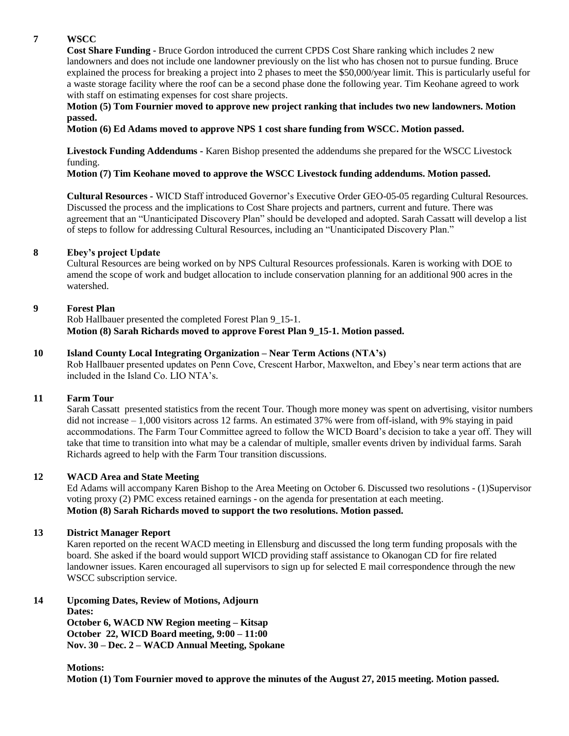# **7 WSCC**

**Cost Share Funding -** Bruce Gordon introduced the current CPDS Cost Share ranking which includes 2 new landowners and does not include one landowner previously on the list who has chosen not to pursue funding. Bruce explained the process for breaking a project into 2 phases to meet the \$50,000/year limit. This is particularly useful for a waste storage facility where the roof can be a second phase done the following year. Tim Keohane agreed to work with staff on estimating expenses for cost share projects.

### **Motion (5) Tom Fournier moved to approve new project ranking that includes two new landowners. Motion passed.**

**Motion (6) Ed Adams moved to approve NPS 1 cost share funding from WSCC. Motion passed.**

**Livestock Funding Addendums -** Karen Bishop presented the addendums she prepared for the WSCC Livestock funding.

**Motion (7) Tim Keohane moved to approve the WSCC Livestock funding addendums. Motion passed.**

**Cultural Resources -** WICD Staff introduced Governor's Executive Order GEO-05-05 regarding Cultural Resources. Discussed the process and the implications to Cost Share projects and partners, current and future. There was agreement that an "Unanticipated Discovery Plan" should be developed and adopted. Sarah Cassatt will develop a list of steps to follow for addressing Cultural Resources, including an "Unanticipated Discovery Plan."

## **8 Ebey's project Update**

Cultural Resources are being worked on by NPS Cultural Resources professionals. Karen is working with DOE to amend the scope of work and budget allocation to include conservation planning for an additional 900 acres in the watershed.

# **9 Forest Plan**

Rob Hallbauer presented the completed Forest Plan 9\_15-1. **Motion (8) Sarah Richards moved to approve Forest Plan 9\_15-1. Motion passed.**

### **10 Island County Local Integrating Organization – Near Term Actions (NTA's)**

Rob Hallbauer presented updates on Penn Cove, Crescent Harbor, Maxwelton, and Ebey's near term actions that are included in the Island Co. LIO NTA's.

## **11 Farm Tour**

Sarah Cassatt presented statistics from the recent Tour. Though more money was spent on advertising, visitor numbers did not increase – 1,000 visitors across 12 farms. An estimated 37% were from off-island, with 9% staying in paid accommodations. The Farm Tour Committee agreed to follow the WICD Board's decision to take a year off. They will take that time to transition into what may be a calendar of multiple, smaller events driven by individual farms. Sarah Richards agreed to help with the Farm Tour transition discussions.

## **12 WACD Area and State Meeting**

Ed Adams will accompany Karen Bishop to the Area Meeting on October 6. Discussed two resolutions - (1)Supervisor voting proxy (2) PMC excess retained earnings - on the agenda for presentation at each meeting. **Motion (8) Sarah Richards moved to support the two resolutions. Motion passed.**

#### **13 District Manager Report**

Karen reported on the recent WACD meeting in Ellensburg and discussed the long term funding proposals with the board. She asked if the board would support WICD providing staff assistance to Okanogan CD for fire related landowner issues. Karen encouraged all supervisors to sign up for selected E mail correspondence through the new WSCC subscription service.

## **14 Upcoming Dates, Review of Motions, Adjourn**

**Dates:** 

**October 6, WACD NW Region meeting – Kitsap October 22, WICD Board meeting, 9:00 – 11:00 Nov. 30 – Dec. 2 – WACD Annual Meeting, Spokane**

**Motions:**

**Motion (1) Tom Fournier moved to approve the minutes of the August 27, 2015 meeting. Motion passed.**